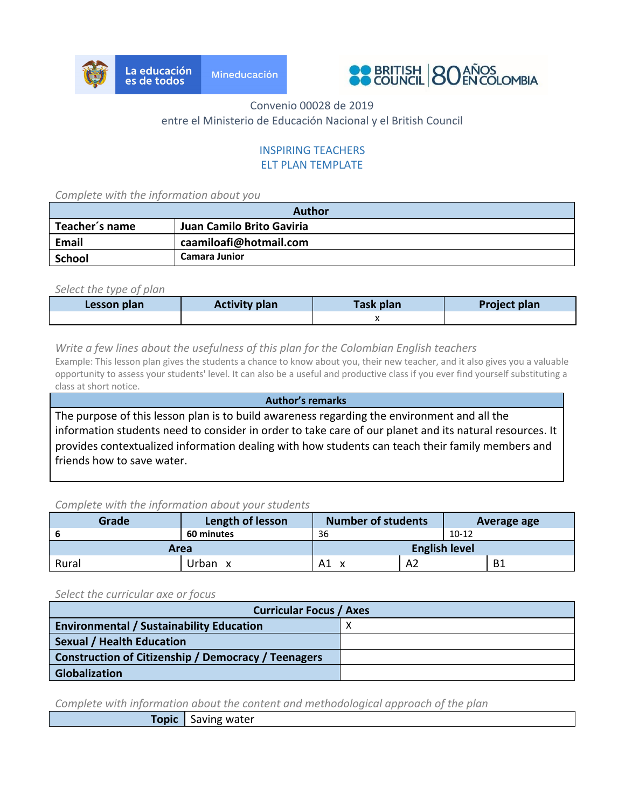



## Convenio 00028 de 2019 entre el Ministerio de Educación Nacional y el British Council

### INSPIRING TEACHERS ELT PLAN TEMPLATE

*Complete with the information about you*

| <b>Author</b>  |                           |  |
|----------------|---------------------------|--|
| Teacher's name | Juan Camilo Brito Gaviria |  |
| Email          | caamiloafi@hotmail.com    |  |
| School         | <b>Camara Junior</b>      |  |

*Select the type of plan*

| <b>Activity plan</b><br>Lesson plan |  | Task plan | <b>Project plan</b> |  |  |
|-------------------------------------|--|-----------|---------------------|--|--|
|                                     |  |           |                     |  |  |

*Write a few lines about the usefulness of this plan for the Colombian English teachers*

Example: This lesson plan gives the students a chance to know about you, their new teacher, and it also gives you a valuable opportunity to assess your students' level. It can also be a useful and productive class if you ever find yourself substituting a class at short notice. **Author's remarks**

The purpose of this lesson plan is to build awareness regarding the environment and all the information students need to consider in order to take care of our planet and its natural resources. It provides contextualized information dealing with how students can teach their family members and friends how to save water.

#### *Complete with the information about your students*

| Grade | Length of lesson | <b>Number of students</b> |    |         |    |  |  |  | Average age |  |
|-------|------------------|---------------------------|----|---------|----|--|--|--|-------------|--|
|       | 60 minutes       | 36                        |    | $10-12$ |    |  |  |  |             |  |
| Area  |                  | <b>English level</b>      |    |         |    |  |  |  |             |  |
| Rural | Urban            | Α1                        | A2 |         | B1 |  |  |  |             |  |

*Select the curricular axe or focus*

| <b>Curricular Focus / Axes</b>                             |  |  |  |  |
|------------------------------------------------------------|--|--|--|--|
| <b>Environmental / Sustainability Education</b>            |  |  |  |  |
| <b>Sexual / Health Education</b>                           |  |  |  |  |
| <b>Construction of Citizenship / Democracy / Teenagers</b> |  |  |  |  |
| <b>Globalization</b>                                       |  |  |  |  |

*Complete with information about the content and methodological approach of the plan*

**Topic** Saving water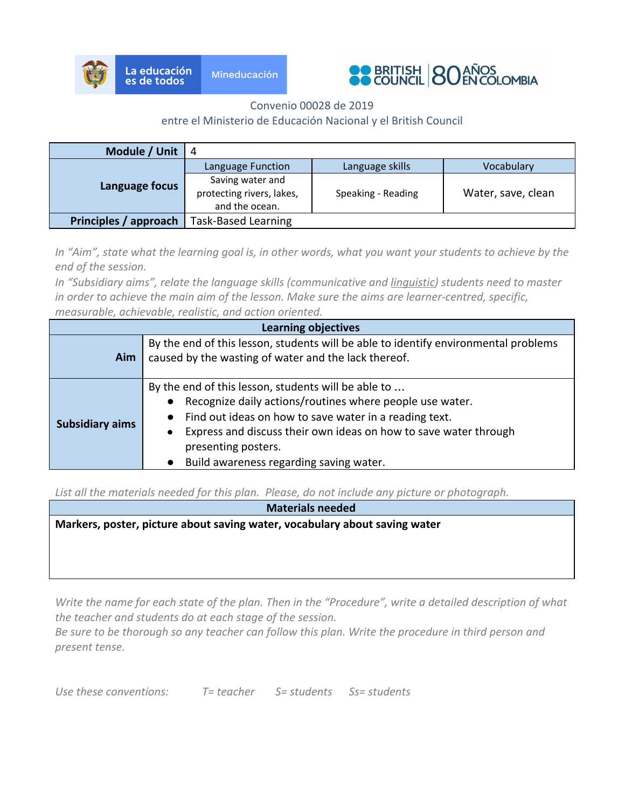



Convenio 00028 de 2019

### entre el Ministerio de Educación Nacional y el British Council

| Module / Unit         | - 4                                                             |                    |                    |
|-----------------------|-----------------------------------------------------------------|--------------------|--------------------|
| Language focus        | Language Function                                               | Language skills    | Vocabulary         |
|                       | Saving water and<br>protecting rivers, lakes,<br>and the ocean. | Speaking - Reading | Water, save, clean |
| Principles / approach | <b>Task-Based Learning</b>                                      |                    |                    |

*In "Aim", state what the learning goal is, in other words, what you want your students to achieve by the end of the session.*

*In "Subsidiary aims", relate the language skills (communicative and linguistic) students need to master in order to achieve the main aim of the lesson. Make sure the aims are learner-centred, specific,*

*measurable, achievable, realistic, and action oriented.*

| <b>Learning objectives</b> |                                                                                                                                                                                                                                                                                                                 |  |  |  |
|----------------------------|-----------------------------------------------------------------------------------------------------------------------------------------------------------------------------------------------------------------------------------------------------------------------------------------------------------------|--|--|--|
| Aim                        | By the end of this lesson, students will be able to identify environmental problems<br>caused by the wasting of water and the lack thereof.                                                                                                                                                                     |  |  |  |
| <b>Subsidiary aims</b>     | By the end of this lesson, students will be able to<br>Recognize daily actions/routines where people use water.<br>Find out ideas on how to save water in a reading text.<br>Express and discuss their own ideas on how to save water through<br>presenting posters.<br>Build awareness regarding saving water. |  |  |  |

*List all the materials needed for this plan. Please, do not include any picture or photograph.*

**Materials needed Markers, poster, picture about saving water, vocabulary about saving water**

*Write the name for each state of the plan. Then in the "Procedure", write a detailed description of what the teacher and students do at each stage of the session.*

*Be sure to be thorough so any teacher can follow this plan. Write the procedure in third person and present tense.*

*Use these conventions: T= teacher S= students Ss= students*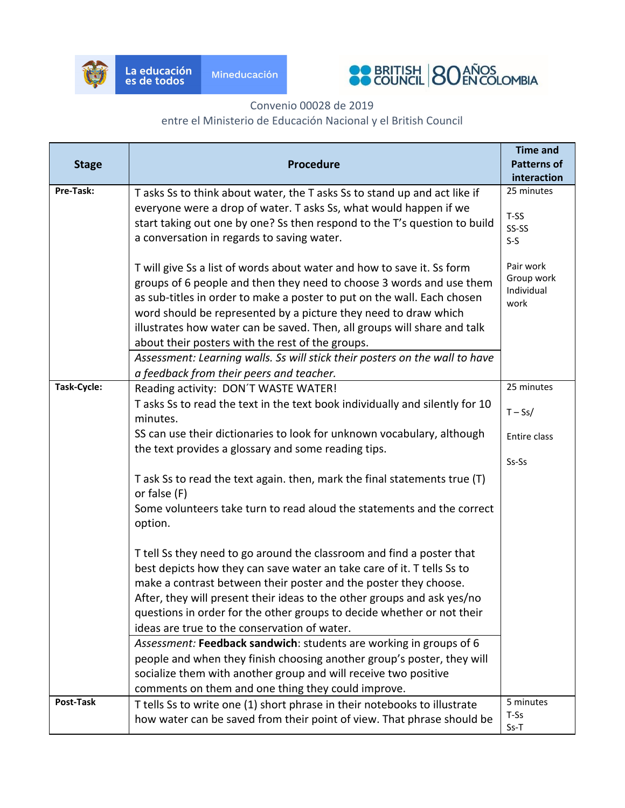



# Convenio 00028 de 2019

## entre el Ministerio de Educación Nacional y el British Council

| <b>Stage</b> | <b>Procedure</b>                                                                                                                                                                                                                                                                                                                                                                                                                                                                                            | <b>Time and</b><br><b>Patterns of</b>         |
|--------------|-------------------------------------------------------------------------------------------------------------------------------------------------------------------------------------------------------------------------------------------------------------------------------------------------------------------------------------------------------------------------------------------------------------------------------------------------------------------------------------------------------------|-----------------------------------------------|
|              |                                                                                                                                                                                                                                                                                                                                                                                                                                                                                                             | interaction                                   |
| Pre-Task:    | T asks Ss to think about water, the T asks Ss to stand up and act like if<br>everyone were a drop of water. T asks Ss, what would happen if we<br>start taking out one by one? Ss then respond to the T's question to build<br>a conversation in regards to saving water.                                                                                                                                                                                                                                   | 25 minutes<br>T-SS<br>SS-SS<br>$S-S$          |
|              | T will give Ss a list of words about water and how to save it. Ss form<br>groups of 6 people and then they need to choose 3 words and use them<br>as sub-titles in order to make a poster to put on the wall. Each chosen<br>word should be represented by a picture they need to draw which<br>illustrates how water can be saved. Then, all groups will share and talk<br>about their posters with the rest of the groups.<br>Assessment: Learning walls. Ss will stick their posters on the wall to have | Pair work<br>Group work<br>Individual<br>work |
|              | a feedback from their peers and teacher.                                                                                                                                                                                                                                                                                                                                                                                                                                                                    |                                               |
| Task-Cycle:  | Reading activity: DON'T WASTE WATER!<br>T asks Ss to read the text in the text book individually and silently for 10<br>minutes.                                                                                                                                                                                                                                                                                                                                                                            | 25 minutes<br>$T-Ss/$                         |
|              | SS can use their dictionaries to look for unknown vocabulary, although<br>the text provides a glossary and some reading tips.                                                                                                                                                                                                                                                                                                                                                                               | Entire class                                  |
|              | T ask Ss to read the text again. then, mark the final statements true (T)<br>or false (F)                                                                                                                                                                                                                                                                                                                                                                                                                   | Ss-Ss                                         |
|              | Some volunteers take turn to read aloud the statements and the correct<br>option.                                                                                                                                                                                                                                                                                                                                                                                                                           |                                               |
|              | T tell Ss they need to go around the classroom and find a poster that<br>best depicts how they can save water an take care of it. T tells Ss to<br>make a contrast between their poster and the poster they choose.<br>After, they will present their ideas to the other groups and ask yes/no<br>questions in order for the other groups to decide whether or not their<br>ideas are true to the conservation of water.                                                                                    |                                               |
|              | Assessment: Feedback sandwich: students are working in groups of 6<br>people and when they finish choosing another group's poster, they will<br>socialize them with another group and will receive two positive<br>comments on them and one thing they could improve.                                                                                                                                                                                                                                       |                                               |
| Post-Task    | T tells Ss to write one (1) short phrase in their notebooks to illustrate<br>how water can be saved from their point of view. That phrase should be                                                                                                                                                                                                                                                                                                                                                         | 5 minutes<br>T-Ss<br>$Ss-T$                   |